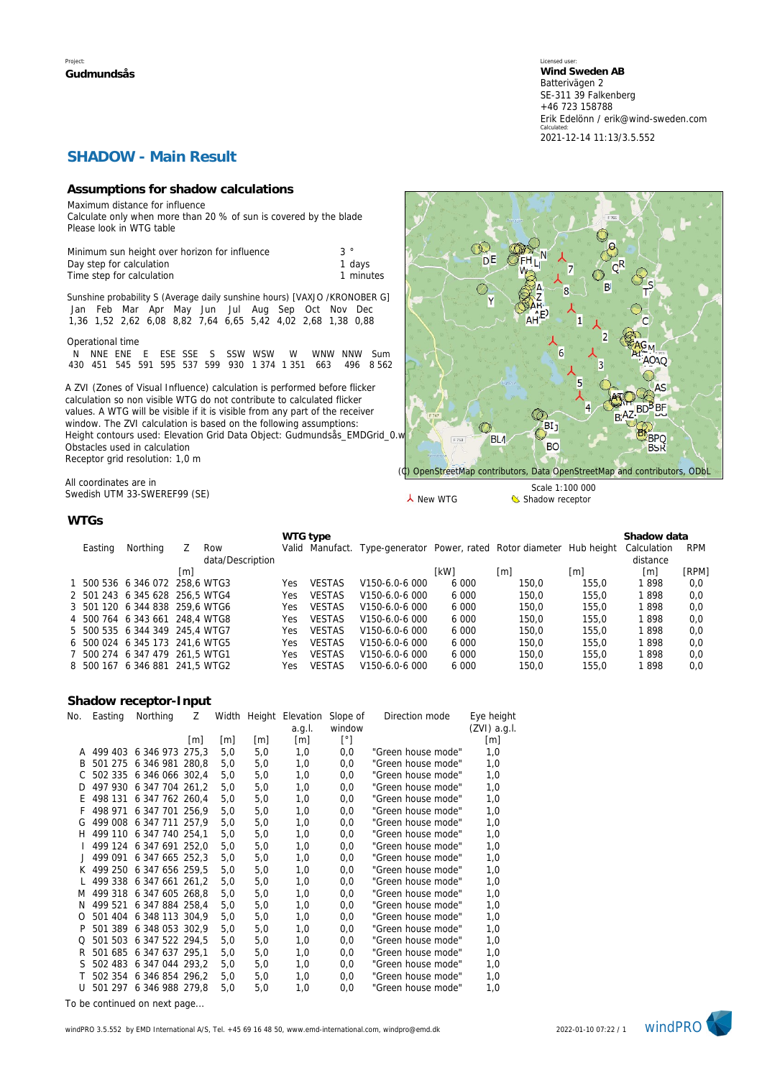Licensed user: **Wind Sweden AB**  Batterivägen 2 SE-311 39 Falkenberg +46 723 158788 Erik Edelönn / erik@wind-sweden.com Calculated: 2021-12-14 11:13/3.5.552

### **SHADOW - Main Result**

#### **Assumptions for shadow calculations**

Maximum distance for influence

Calculate only when more than 20 % of sun is covered by the blade Please look in WTG table

| Minimum sun height over horizon for influence | $\mathcal{S}$ |
|-----------------------------------------------|---------------|
| Day step for calculation                      | 1 davs        |
| Time step for calculation                     | 1 minutes     |

Sunshine probability S (Average daily sunshine hours) [VAXJO /KRONOBER G] Jan Feb Mar Apr May Jun Jul Aug Sep Oct Nov Dec 1,36 1,52 2,62 6,08 8,82 7,64 6,65 5,42 4,02 2,68 1,38 0,88

Operational time

N NNE ENE E ESE SSE S SSW WSW W WNW NNW Sum 430 451 545 591 595 537 599 930 1 374 1 351 663 496 8 562

A ZVI (Zones of Visual Influence) calculation is performed before flicker calculation so non visible WTG do not contribute to calculated flicker values. A WTG will be visible if it is visible from any part of the receiver window. The ZVI calculation is based on the following assumptions: Height contours used: Elevation Grid Data Object: Gudmundsås\_EMDGrid\_0.v Obstacles used in calculation Receptor grid resolution: 1,0 m

All coordinates are in Swedish UTM 33-SWEREF99 (SE)



**WTGs**

| Easting | Northing                       |     | Row              |     | WTG type      | Valid Manufact. Type-generator Power, rated Rotor diameter Hub height |             |       |       | Shadow data<br>Calculation | <b>RPM</b> |
|---------|--------------------------------|-----|------------------|-----|---------------|-----------------------------------------------------------------------|-------------|-------|-------|----------------------------|------------|
|         |                                | lml | data/Description |     |               |                                                                       | <b>IkW1</b> | [m]   | m     | distance<br> m             | [RPM]      |
|         |                                |     |                  |     |               |                                                                       |             |       |       |                            |            |
|         | 1 500 536 6 346 072 258.6 WTG3 |     |                  | Yes | <b>VESTAS</b> | V150-6.0-6 000                                                        | 6 0 0 0     | 150.0 | 155.0 | 1898                       | 0,0        |
|         | 2 501 243 6 345 628 256.5 WTG4 |     |                  | Yes | <b>VESTAS</b> | V <sub>150</sub> -6.0-6.000                                           | 6 0 0 0     | 150.0 | 155.0 | 1898                       | 0,0        |
|         | 3 501 120 6 344 838 259.6 WTG6 |     |                  | Yes | <b>VESTAS</b> | V150-6.0-6 000                                                        | 6 0 0 0     | 150.0 | 155.0 | 1898                       | 0,0        |
|         | 4 500 764 6 343 661 248.4 WTG8 |     |                  | Yes | VESTAS        | V <sub>150</sub> -6.0-6.000                                           | 6 0 0 0     | 150.0 | 155.0 | 1898                       | 0,0        |
|         | 5 500 535 6 344 349 245.4 WTG7 |     |                  | Yes | <b>VESTAS</b> | V <sub>150</sub> -6.0-6.000                                           | 6000        | 150.0 | 155.0 | 1898                       | 0,0        |
|         | 6 500 024 6 345 173 241.6 WTG5 |     |                  | Yes | <b>VESTAS</b> | V150-6.0-6 000                                                        | 6 0 0 0     | 150.0 | 155.0 | 1898                       | 0,0        |
|         | 7 500 274 6 347 479 261.5 WTG1 |     |                  | Yes | <b>VESTAS</b> | V <sub>150</sub> -6.0-6.000                                           | 6 0 0 0     | 150.0 | 155.0 | 1898                       | 0,0        |
|         | 8 500 167 6 346 881 241.5 WTG2 |     |                  | Yes | <b>VESTAS</b> | V <sub>150</sub> -6.0-6.000                                           | 6 0 0 0     | 150.0 | 155.0 | 1898                       | 0,0        |

#### **Shadow receptor-Input**

| No. | Easting | Northing                | Ζ                 |     |                   | Width Height Elevation | Slope of     | Direction mode     | Eye height   |
|-----|---------|-------------------------|-------------------|-----|-------------------|------------------------|--------------|--------------------|--------------|
|     |         |                         |                   |     |                   | a.g.l.                 | window       |                    | (ZVI) a.g.I. |
|     |         |                         | $\lceil m \rceil$ | [m] | $\lceil m \rceil$ | $\lceil m \rceil$      | $[^{\circ}]$ |                    | [m]          |
| A   | 499 403 | 6 346 973 275,3         |                   | 5,0 | 5,0               | 1,0                    | 0,0          | "Green house mode" | 1,0          |
| B   | 501 275 | 6 346 981 280,8         |                   | 5,0 | 5,0               | 1,0                    | 0,0          | "Green house mode" | 1,0          |
| C   | 502 335 | 6 346 066 302,4         |                   | 5,0 | 5,0               | 1,0                    | 0,0          | "Green house mode" | 1,0          |
| D   | 497 930 | 6 347 704 261.2         |                   | 5,0 | 5,0               | 1,0                    | 0,0          | "Green house mode" | 1,0          |
| Ε   | 498 131 | 6 347 762 260,4         |                   | 5,0 | 5,0               | 1,0                    | 0,0          | "Green house mode" | 1,0          |
| F   | 498 971 | 6 347 701 256.9         |                   | 5,0 | 5,0               | 1,0                    | 0,0          | "Green house mode" | 1,0          |
| G   |         | 499 008 6 347 711 257,9 |                   | 5,0 | 5,0               | 1,0                    | 0,0          | "Green house mode" | 1,0          |
| н   |         | 499 110 6 347 740 254.1 |                   | 5,0 | 5,0               | 1,0                    | 0,0          | "Green house mode" | 1,0          |
|     | 499 124 | 6 347 691 252,0         |                   | 5,0 | 5,0               | 1,0                    | 0,0          | "Green house mode" | 1,0          |
|     | 499 091 | 6 347 665 252.3         |                   | 5,0 | 5,0               | 1,0                    | 0,0          | "Green house mode" | 1,0          |
| K   |         | 499 250 6 347 656 259.5 |                   | 5,0 | 5,0               | 1,0                    | 0,0          | "Green house mode" | 1,0          |
|     |         | 499 338 6 347 661 261,2 |                   | 5,0 | 5,0               | 1,0                    | 0,0          | "Green house mode" | 1,0          |
| M   |         | 499 318 6 347 605 268,8 |                   | 5,0 | 5,0               | 1,0                    | 0,0          | "Green house mode" | 1,0          |
| N   | 499 521 | 6 347 884 258,4         |                   | 5,0 | 5,0               | 1,0                    | 0,0          | "Green house mode" | 1,0          |
| O   | 501 404 | 6 348 113 304.9         |                   | 5,0 | 5,0               | 1,0                    | 0,0          | "Green house mode" | 1,0          |
| P   |         | 501 389 6 348 053 302,9 |                   | 5,0 | 5,0               | 1,0                    | 0,0          | "Green house mode" | 1,0          |
| Q   | 501 503 | 6 347 522 294,5         |                   | 5,0 | 5,0               | 1,0                    | 0,0          | "Green house mode" | 1,0          |
| R   |         | 501 685 6 347 637 295.1 |                   | 5,0 | 5,0               | 1,0                    | 0,0          | "Green house mode" | 1,0          |
| S   | 502 483 | 6 347 044 293.2         |                   | 5,0 | 5,0               | 1,0                    | 0,0          | "Green house mode" | 1,0          |
| Т   | 502 354 | 6 346 854 296,2         |                   | 5,0 | 5,0               | 1,0                    | 0,0          | "Green house mode" | 1,0          |
| U   |         | 501 297 6 346 988 279,8 |                   | 5,0 | 5,0               | 1,0                    | 0,0          | "Green house mode" | 1,0          |
|     |         |                         |                   |     |                   |                        |              |                    |              |

*To be continued on next page...*

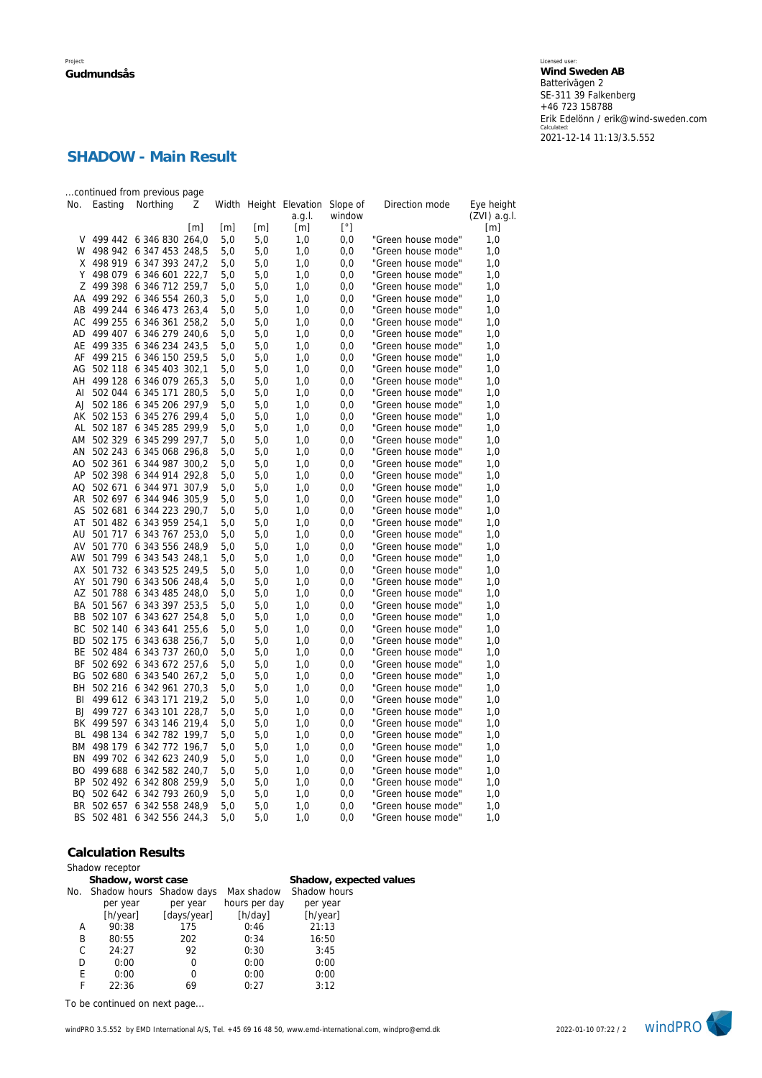# **SHADOW - Main Result**

|           |            | continued from previous page |                   |                   |                   |                                           |              |                    |                            |
|-----------|------------|------------------------------|-------------------|-------------------|-------------------|-------------------------------------------|--------------|--------------------|----------------------------|
| No.       | Easting    | Northing                     | Ζ                 |                   |                   | Width Height Elevation Slope of<br>a.g.l. | window       | Direction mode     | Eye height<br>(ZVI) a.g.l. |
|           |            |                              | $\lceil m \rceil$ | $\lceil m \rceil$ | $\lceil m \rceil$ | $\lceil m \rceil$                         | $[^{\circ}]$ |                    | [m]                        |
| V         |            | 499 442 6 346 830 264,0      |                   | 5,0               | 5,0               | 1,0                                       | 0,0          | "Green house mode" | 1,0                        |
| W         | 498 942    | 6 347 453 248,5              |                   | 5,0               | 5,0               | 1,0                                       | 0,0          | "Green house mode" | 1,0                        |
| X         | 498 919    | 6 347 393 247,2              |                   | 5,0               | 5,0               | 1,0                                       | 0,0          | "Green house mode" | 1,0                        |
| Y         | 498 079    | 6 346 601 222,7              |                   | 5,0               | 5,0               | 1,0                                       | 0,0          | "Green house mode" | 1,0                        |
| Ζ         | 499 398    | 6 346 712 259,7              |                   | 5,0               | 5,0               | 1,0                                       | 0,0          | "Green house mode" | 1,0                        |
| AA        |            | 499 292 6 346 554 260,3      |                   | 5,0               | 5,0               | 1,0                                       | 0,0          | "Green house mode" | 1,0                        |
| AB        | 499 244    | 6 346 473 263,4              |                   | 5,0               | 5,0               | 1,0                                       | 0,0          | "Green house mode" | 1,0                        |
| AC        | 499 255    | 6 346 361 258,2              |                   | 5,0               | 5,0               | 1,0                                       | 0,0          | "Green house mode" | 1,0                        |
| AD        | 499 407    | 6 346 279 240,6              |                   | 5,0               | 5,0               | 1,0                                       | 0,0          | "Green house mode" | 1,0                        |
| AE        | 499 335    | 6 346 234 243,5              |                   | 5,0               | 5,0               | 1,0                                       | 0,0          | "Green house mode" | 1,0                        |
| AF        | 499 215    | 6 346 150 259,5              |                   | 5,0               | 5,0               | 1,0                                       | 0,0          | "Green house mode" | 1,0                        |
| AG        | 502 118    | 6 345 403 302,1              |                   | 5,0               | 5,0               | 1,0                                       | 0,0          | "Green house mode" | 1,0                        |
| AH        | 499 128    | 6 346 079 265,3              |                   | 5,0               | 5,0               | 1,0                                       | 0,0          | "Green house mode" | 1,0                        |
| AI        |            | 502 044 6 345 171 280,5      |                   | 5,0               | 5,0               | 1,0                                       | 0,0          | "Green house mode" | 1,0                        |
| AJ        |            | 502 186 6 345 206 297,9      |                   | 5,0               | 5,0               | 1,0                                       | 0,0          | "Green house mode" | 1,0                        |
|           |            | AK 502 153 6 345 276 299,4   |                   | 5,0               | 5,0               | 1,0                                       | 0,0          | "Green house mode" | 1,0                        |
| AL        | 502 187    | 6 345 285 299,9              |                   | 5,0               | 5,0               | 1,0                                       | 0,0          | "Green house mode" | 1,0                        |
|           | AM 502 329 | 6 345 299 297,7              |                   | 5,0               | 5,0               | 1,0                                       | 0,0          | "Green house mode" | 1,0                        |
|           | AN 502 243 | 6 345 068 296,8              |                   | 5,0               | 5,0               | 1,0                                       | 0,0          | "Green house mode" | 1,0                        |
|           | AO 502 361 | 6 344 987 300,2              |                   | 5,0               | 5,0               | 1,0                                       | 0,0          | "Green house mode" | 1,0                        |
| AP        | 502 398    | 6 344 914 292,8              |                   | 5,0               | 5,0               | 1,0                                       | 0,0          | "Green house mode" | 1,0                        |
|           | AQ 502 671 | 6 344 971 307,9              |                   | 5,0               | 5,0               | 1,0                                       | 0,0          | "Green house mode" | 1,0                        |
|           | AR 502 697 | 6 344 946 305,9              |                   | 5,0               | 5,0               | 1,0                                       | 0,0          | "Green house mode" | 1,0                        |
| AS        | 502 681    | 6 344 223 290,7              |                   | 5,0               | 5,0               | 1,0                                       | 0,0          | "Green house mode" | 1,0                        |
|           |            | AT 501 482 6 343 959 254,1   |                   | 5,0               | 5,0               | 1,0                                       | 0,0          | "Green house mode" | 1,0                        |
| AU        | 501 717    | 6 343 767 253,0              |                   | 5,0               | 5,0               | 1,0                                       | 0,0          | "Green house mode" | 1,0                        |
| AV        |            | 501 770 6 343 556 248,9      |                   | 5,0               | 5,0               | 1,0                                       | 0,0          | "Green house mode" | 1,0                        |
|           |            | AW 501 799 6 343 543 248,1   |                   | 5,0               | 5,0               | 1,0                                       | 0,0          | "Green house mode" | 1,0                        |
| AX        |            | 501 732 6 343 525 249,5      |                   | 5,0               | 5,0               | 1,0                                       | 0,0          | "Green house mode" | 1,0                        |
| AY        |            | 501 790 6 343 506 248,4      |                   | 5,0               | 5,0               | 1,0                                       | 0,0          | "Green house mode" | 1,0                        |
|           |            | AZ 501 788 6 343 485 248,0   |                   | 5,0               | 5,0               | 1,0                                       | 0,0          | "Green house mode" | 1,0                        |
|           |            | BA 501 567 6 343 397 253,5   |                   | 5.0               | 5.0               | 1,0                                       | 0,0          | "Green house mode" | 1,0                        |
| BB        | 502 107    | 6 343 627 254,8              |                   | 5,0               | 5,0               | 1,0                                       | 0,0          | "Green house mode" | 1,0                        |
| ВC        |            | 502 140 6 343 641 255,6      |                   | 5,0               | 5,0               | 1,0                                       | 0,0          | "Green house mode" | 1,0                        |
|           |            | BD 502 175 6 343 638 256,7   |                   | 5,0               | 5,0               | 1,0                                       | 0,0          | "Green house mode" | 1,0                        |
|           | BE 502 484 | 6 343 737 260,0              |                   | 5,0               | 5,0               | 1,0                                       | 0,0          | "Green house mode" | 1,0                        |
| BF        |            | 502 692 6 343 672 257.6      |                   | 5,0               | 5,0               | 1,0                                       | 0,0          | "Green house mode" | 1,0                        |
| BG        |            | 502 680 6 343 540 267,2      |                   | 5,0               | 5,0               | 1,0                                       | 0,0          | "Green house mode" | 1,0                        |
| BH        |            | 502 216 6 342 961 270,3      |                   | 5,0               | 5,0               | 1,0                                       | 0,0          | "Green house mode" | 1,0                        |
| BI        |            | 499 612 6 343 171 219,2      |                   | 5,0               | 5,0               | 1,0                                       | 0,0          | "Green house mode" | 1,0                        |
| BJ        | 499 727    | 6 343 101 228,7              |                   | 5,0               | 5,0               | 1,0                                       | 0,0          | "Green house mode" | 1,0                        |
| ВK        | 499 597    | 6 343 146 219,4              |                   | 5,0               | 5,0               | 1,0                                       | 0,0          | "Green house mode" | 1,0                        |
| BL        | 498 134    | 6 342 782 199,7              |                   | 5,0               | 5,0               | 1,0                                       | 0,0          | "Green house mode" | 1,0                        |
| ВM        | 498 179    | 6 342 772                    | 196,7             | 5,0               | 5,0               | 1,0                                       | 0,0          | "Green house mode" | 1,0                        |
| ΒN        |            | 499 702 6 342 623 240,9      |                   | 5,0               | 5,0               | 1,0                                       | 0,0          | "Green house mode" | 1,0                        |
| BO        | 499 688    | 6 342 582 240,7              |                   | 5,0               | 5,0               | 1,0                                       | 0,0          | "Green house mode" | 1,0                        |
| <b>BP</b> | 502 492    | 6 342 808 259,9              |                   | 5,0               | 5,0               | 1,0                                       | 0,0          | "Green house mode" | 1,0                        |
|           | BQ 502 642 | 6 342 793 260,9              |                   | 5,0               | 5,0               | 1,0                                       | 0,0          | "Green house mode" | 1,0                        |
|           | BR 502 657 | 6 342 558 248,9              |                   | 5,0               | 5,0               | 1,0                                       | 0,0          | "Green house mode" | 1,0                        |
| <b>BS</b> | 502 481    | 6 342 556 244,3              |                   | 5,0               | 5,0               | 1,0                                       | 0,0          | "Green house mode" | 1,0                        |

#### **Calculation Results**

Shadow receptor

|   | <u></u>            |                              |                         |                            |  |  |  |
|---|--------------------|------------------------------|-------------------------|----------------------------|--|--|--|
|   | Shadow, worst case |                              | Shadow, expected values |                            |  |  |  |
|   |                    | No. Shadow hours Shadow days |                         | Shadow hours<br>Max shadow |  |  |  |
|   | per year           | per year                     | hours per day           | per year                   |  |  |  |
|   | [h/year]           | [days/year]                  | [h/day]                 | [h/year]                   |  |  |  |
| A | 90:38              | 175                          | 0:46                    | 21:13                      |  |  |  |
| B | 80:55              | 202                          | 0:34                    | 16:50                      |  |  |  |
| C | 24:27              | 92                           | 0:30                    | 3:45                       |  |  |  |
| D | 0:00               | $\Omega$                     | 0:00                    | 0:00                       |  |  |  |
| E | 0:00               | $\Omega$                     | 0:00                    | 0:00                       |  |  |  |
|   | 22:36              | 69                           | 0:27                    | 3:12                       |  |  |  |

*To be continued on next page...*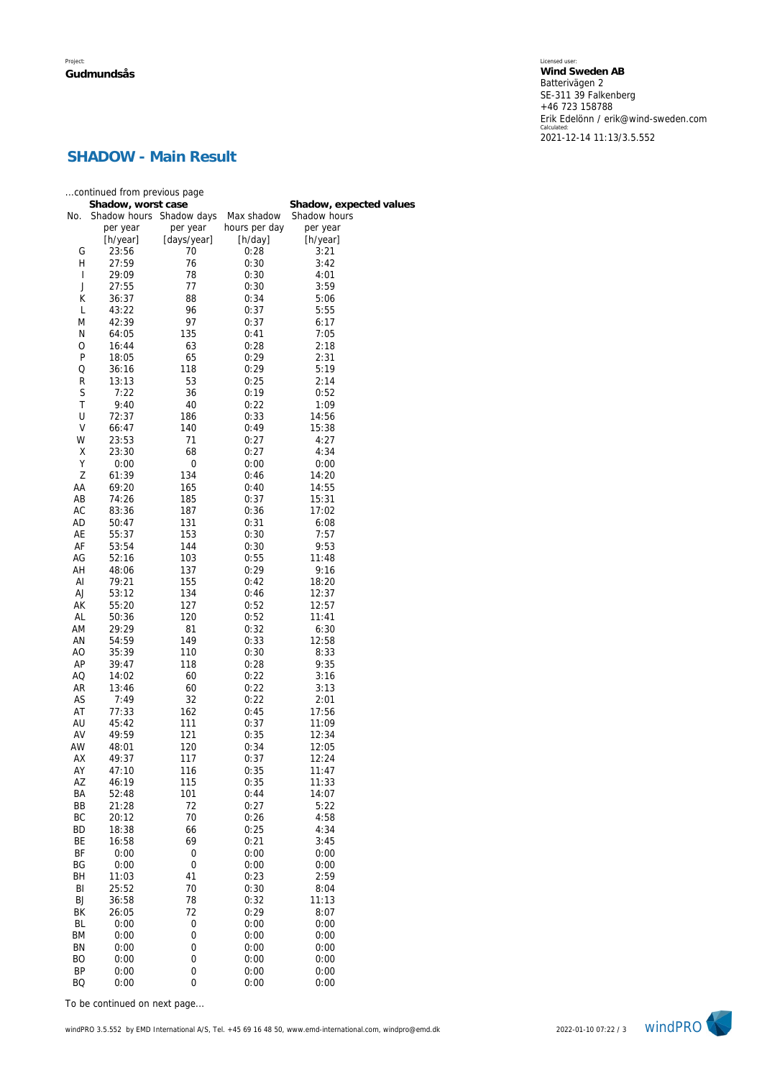Licensed user: **Wind Sweden AB**  Batterivägen 2 SE-311 39 Falkenberg +46 723 158788 Erik Edelönn / erik@wind-sweden.com Calculated: 2021-12-14 11:13/3.5.552

# **SHADOW - Main Result**

|           | continued from previous page |                         |                             |                          |  |  |  |
|-----------|------------------------------|-------------------------|-----------------------------|--------------------------|--|--|--|
|           | Shadow, worst case           |                         |                             | Shadow, expected values  |  |  |  |
| No.       | Shadow hours<br>per year     | Shadow days<br>per year | Max shadow<br>hours per day | Shadow hours<br>per year |  |  |  |
|           | [h/year]                     | [days/year]             | [h/day]                     | [h/year]                 |  |  |  |
| G         | 23:56                        | 70                      | 0:28                        | 3:21                     |  |  |  |
| Η         | 27:59                        | 76                      | 0:30                        | 3:42                     |  |  |  |
| I         | 29:09                        | 78                      | 0:30                        | 4:01                     |  |  |  |
| J         | 27:55                        | 77                      | 0:30                        | 3:59                     |  |  |  |
| К         | 36:37                        | 88                      | 0:34                        | 5:06                     |  |  |  |
| Г<br>M    | 43:22<br>42:39               | 96<br>97                | 0:37<br>0:37                | 5:55<br>6:17             |  |  |  |
| Ν         | 64:05                        | 135                     | 0:41                        | 7:05                     |  |  |  |
| O         | 16:44                        | 63                      | 0:28                        | 2:18                     |  |  |  |
| Ρ         | 18:05                        | 65                      | 0:29                        | 2:31                     |  |  |  |
| Q         | 36:16                        | 118                     | 0:29                        | 5:19                     |  |  |  |
| R         | 13:13                        | 53                      | 0:25                        | 2:14                     |  |  |  |
| S         | 7:22                         | 36                      | 0:19                        | 0:52                     |  |  |  |
| T         | 9:40                         | 40                      | 0:22                        | 1:09                     |  |  |  |
| U<br>V    | 72:37                        | 186                     | 0:33                        | 14:56                    |  |  |  |
| W         | 66:47<br>23:53               | 140<br>71               | 0:49<br>0:27                | 15:38<br>4:27            |  |  |  |
| Χ         | 23:30                        | 68                      | 0:27                        | 4:34                     |  |  |  |
| Υ         | 0:00                         | 0                       | 0:00                        | 0:00                     |  |  |  |
| Z         | 61:39                        | 134                     | 0:46                        | 14:20                    |  |  |  |
| AA        | 69:20                        | 165                     | 0:40                        | 14:55                    |  |  |  |
| AB        | 74:26                        | 185                     | 0:37                        | 15:31                    |  |  |  |
| АC        | 83:36                        | 187                     | 0:36                        | 17:02                    |  |  |  |
| AD        | 50:47                        | 131                     | 0:31                        | 6:08                     |  |  |  |
| AE        | 55:37                        | 153                     | 0:30<br>0:30                | 7:57                     |  |  |  |
| AF<br>AG  | 53:54<br>52:16               | 144<br>103              | 0:55                        | 9:53<br>11:48            |  |  |  |
| AH        | 48:06                        | 137                     | 0:29                        | 9:16                     |  |  |  |
| AI        | 79:21                        | 155                     | 0:42                        | 18:20                    |  |  |  |
| AJ        | 53:12                        | 134                     | 0:46                        | 12:37                    |  |  |  |
| АK        | 55:20                        | 127                     | 0:52                        | 12:57                    |  |  |  |
| AL        | 50:36                        | 120                     | 0:52                        | 11:41                    |  |  |  |
| AM        | 29:29                        | 81                      | 0:32                        | 6:30                     |  |  |  |
| AN        | 54:59                        | 149                     | 0:33                        | 12:58                    |  |  |  |
| AO<br>AP  | 35:39<br>39:47               | 110<br>118              | 0:30<br>0:28                | 8:33<br>9:35             |  |  |  |
| AQ        | 14:02                        | 60                      | 0:22                        | 3:16                     |  |  |  |
| AR        | 13:46                        | 60                      | 0:22                        | 3:13                     |  |  |  |
| AS        | 7:49                         | 32                      | 0:22                        | 2:01                     |  |  |  |
| AT        | 77:33                        | 162                     | 0:45                        | 17:56                    |  |  |  |
| AU        | 45:42                        | 111                     | 0:37                        | 11:09                    |  |  |  |
| AV        | 49:59                        | 121                     | 0:35                        | 12:34                    |  |  |  |
| AW        | 48:01                        | 120                     | 0:34                        | 12:05                    |  |  |  |
| АX<br>AY  | 49:37<br>47:10               | 117<br>116              | 0:37<br>0:35                | 12:24<br>11:47           |  |  |  |
| ΑZ        | 46:19                        | 115                     | 0:35                        | 11:33                    |  |  |  |
| ΒA        | 52:48                        | 101                     | 0:44                        | 14:07                    |  |  |  |
| BB        | 21:28                        | 72                      | 0:27                        | 5:22                     |  |  |  |
| BC        | 20:12                        | 70                      | 0:26                        | 4:58                     |  |  |  |
| <b>BD</b> | 18:38                        | 66                      | 0:25                        | 4:34                     |  |  |  |
| BE        | 16:58                        | 69                      | 0:21                        | 3:45                     |  |  |  |
| BF        | 0:00                         | $\mathbf 0$             | 0:00                        | 0:00                     |  |  |  |
| BG<br>BH  | 0:00<br>11:03                | $\mathbf 0$<br>41       | 0:00<br>0:23                | 0:00<br>2:59             |  |  |  |
| BI        | 25:52                        | 70                      | 0:30                        | 8:04                     |  |  |  |
| BJ        | 36:58                        | 78                      | 0:32                        | 11:13                    |  |  |  |
| ΒK        | 26:05                        | 72                      | 0:29                        | 8:07                     |  |  |  |
| BL        | 0:00                         | $\mathbf 0$             | 0:00                        | 0:00                     |  |  |  |
| ΒM        | 0:00                         | 0                       | 0:00                        | 0:00                     |  |  |  |
| BN        | 0:00                         | 0                       | 0:00                        | 0:00                     |  |  |  |
| ВO        | 0:00                         | 0                       | 0:00                        | 0:00                     |  |  |  |
| BP        | 0:00                         | $\boldsymbol{0}$<br>0   | 0:00<br>0:00                | 0:00                     |  |  |  |
| ΒQ        | 0:00                         |                         |                             | 0:00                     |  |  |  |

*To be continued on next page...*